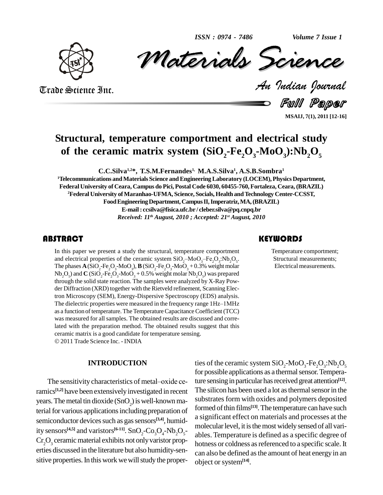*ISSN : 0974 - 7486*

*Volume 7 Issue 1*



1888 : 0974 - 7486<br>Materials Science Volume 7 Issue 1<br> **CREARCE**<br> *Padian Pournal* ISSN: 0974 - 7486 Volume 7 Issue 1

Trade Science Inc. Trade Science Inc.

Full Paper

**MSAIJ, 7(1), 2011 [12-16]**

## **Structural, temperature comportment and electrical study** of the ceramic matrix system  $(SiO<sub>2</sub> - Fe<sub>2</sub>O<sub>3</sub> - MoO<sub>4</sub>)$ :Nb<sub>2</sub> $O<sub>5</sub>$

**C.C.Silva 1,2\*, T.S.M.Fernandes 1, M.A.S.Silva 1 , A.S.B.Sombra 1**

**<sup>1</sup>Telecommunications andMaterials Science andEngineeringLaboratory (LOCEM),Physics Department, Federal University of Ceara, Campus do Pici, Postal Code 6030, 60455-760, Fortaleza, Ceara, (BRAZIL) <sup>2</sup>Federal University ofMaranhao-UFMA, Science, Socials, Health andTechnology Center-CCSST,** Food Engineering Department, Campus II, Imperatriz, MA, (BRAZIL) **E-mail: [ccsilva@fisica.ufc.br](mailto:ccsilva@fisica.ufc.br) / [cleber.silva@pq.cnpq.br](mailto:cleber.silva@pq.cnpq.br)** *Received: 11 th August, 2010 ; Accepted: 21 st August, 2010*

In this paper we present a study the structural, temperature comportment<br>and electrical properties of the ceramic system  $SiO_2-MoO_3-Fe_2O_3:Nb_2O_5$ .<br>The phases  $A(SiO_2-Fe_2O_3-MoO_3)$ ,  $B(SiO_2-Fe_2O_3-MoO_3 + 0.3%$  weight molar In this paper we present a study the structural, temperature comportment In this paper we present a study the structural, temperature comportm<br>and electrical properties of the ceramic system  $SiO_2-Moo_3-Fe_2O_3:Nb_2$  $_{2}O_{3}$ :Nb<sub>2</sub>O<sub>5</sub>.  $Nb_2O_5$ ) and  $C(SiO_2-Fe_2O_3-MoO_3+0.5%$  weight molar  $Nb_2O_5$ ) was prepared through the solid state reaction. The samples were analyzed by X-Ray Pow der Diffraction (XRD) together with the Rietveld refinement, Scanning Electron Microscopy (SEM), Energy-Dispersive Spectroscopy (EDS) analysis. der Diffraction (XRD) together with the Rietveld refinement, Scanning Electron Microscopy (SEM), Energy-Dispersive Spectroscopy (EDS) analysis.<br>The dielectric properties were measured in the frequency range 1Hz–1MHz as a function of temperature. The Temperature Capacitance Coefficient (TCC) was measured for all samples. The obtained results are discussed and correlated with the preparation method. The obtained results suggest that this ceramic matrix is <sup>a</sup> good candidate for temperature sensing. 2011Trade Science Inc. - INDIA

#### **INTRODUCTION**

The sensitivity characteristics of metal-oxide ceramics<sup>[1,2]</sup> have been extensively investigated in recent Th years. The metal tin dioxide  $(SnO<sub>2</sub>)$  is well-known material for various applications including preparation of semiconductor devices such as gas sensors<sup>[3,4]</sup>, humidity sensors<sup>[4,5]</sup> and varistors<sup>[6-11]</sup>. SnO<sub>2</sub>-Co<sub>3</sub>O<sub>4</sub>-Nb<sub>2</sub>O<sub>5</sub>- able  $Cr_2O_3$  ceramic material exhibits not only varistor properties discussed in the literature but also humidity-sen sitive properties. In this work we will study the proper-

ties of the ceramic system  $\rm SiO_{2}$ -Mo $\rm O_{3}$ -Fe<sub>2</sub>O<sub>3</sub>:Nb<sub>2</sub>O<sub>5</sub> for possible applications as a thermal sensor. Temperature sensing in particular has received great attention<sup>[12]</sup>. The silicon has been used a lot as thermal sensor in the substrates form with oxides and polymers deposited formed ofthin films **[13]**.The temperature can have such a significant effect on materials and processes at the molecular level, it is the most widely sensed of all variables. Temperature is defined as a specific degree of hotness or coldness as referenced to a specific scale. It can also be defined asthe amount of heat energyin an object orsystem**[14]**.

#### **KEYWORDS**

Temperature comportment; Structural measurements; Electrical measurements.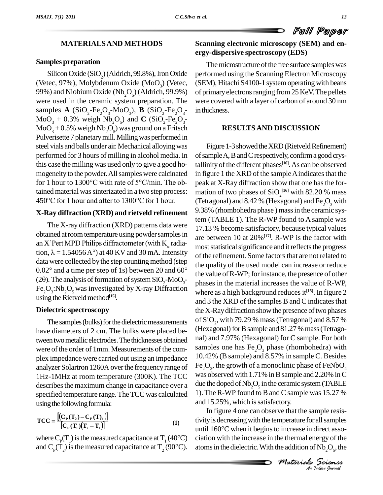Full Paper

### **MATERIALSAND METHODS**

#### **Samples preparation**

Silicon Oxide (SiO<sub>2</sub>) (Aldrich, 99.8%), Iron Oxide (Vetec, 97%), Molybdenum Oxide (MoO<sub>2</sub>) (Vetec, 99%) and Niobium Oxide (Nb<sub>2</sub>O<sub>5</sub>) (Aldrich, 99.9%) were used in the ceramic system preparation. The samples **A** (SiO<sub>2</sub>-Fe<sub>2</sub>O<sub>3</sub>-MoO<sub>3</sub>), **B** (SiO<sub>2</sub>-Fe<sub>2</sub>O<sub>3</sub>-MoO<sub>3</sub> + 0.3% weigh Nb<sub>2</sub>O<sub>5</sub>) and **C** (SiO<sub>2</sub>-Fe<sub>2</sub>O<sub>3</sub>-MoO<sub>3</sub> + 0.5% weigh Nb<sub>2</sub>O<sub>5</sub>) was ground on a Fritsch Pulverisette 7 planetary mill. Milling was performed in steel vials and balls under air. Mechanical alloying was performed for 3 hours of milling in alcohol media. In this case the milling was used only to give a good ho-<br>mogeneity to the powder. All samples were calcinated in fi<br>for 1 hour to 1300°C with rate of 5°C/min. The obmogeneity to the powder. All samples were calcinated tained material was sinterizated in a two step process: for 1 hour to 1300°C with rate of 5°C/min. The obtained material was sinterizated in a two step process:<br>450°C for 1 hour and after to 1300°C for 1 hour.

#### **X-Ray diffraction (XRD) and rietveld refinement**

The X-ray diffraction (XRD) patterns data were obtained at room temperature using powder samples in The X-ray diffraction (XRD) patterns data were<br>obtained at room temperature using powder samples in<br>an X'Pert MPD Philips diffractometer (with  $K_c$  radiaobtained at room temperature using powder samples in<br>an X'Pert MPD Philips diffractometer (with K<sub>a</sub> radia-<br>tion,  $\lambda = 1.54056 \text{ A}^{\circ}$ ) at 40 KV and 30 mA. Intensity data were collected by the step counting method (step) tion,  $\lambda = 1.54056 \text{ A}^{\circ}$  at 40 KV and 30 mA. Intensity data were collected by the step counting method (step 0.02° and a time per step of 1s) between 20 and 60° data were collected by the step counting method (step<br>  $0.02^{\circ}$  and a time per step of 1s) between 20 and 60<sup>°</sup> the valu<br>
(20). The analysis of formation of system SiO<sub>2</sub>-MoO<sub>3</sub><sup>-</sup> phases<br>
Fe<sub>2</sub>O<sub>3</sub>:Nb<sub>2</sub>O<sub>5</sub> was invest using the Rietveld method<sup>[15]</sup>.

#### **Dielectric spectroscopy**

The samples (bulks) for the dielectric measurements have diameters of 2 cm. The bulks were placed between two metallic electrodes. The thicknesses obtained were of the order of 1mm. Measurements of the complex impedance were carried out using an impedance analyzer Solartron 1260A over the frequency range of 1Hz-1MHz at room temperature (300K). The TCC describes the maximum change in capacitance over a specified temperature range.The TCC was calculated using the following formula:<br> $[(C_p(T_p) - C_p(T_p))]$ 

$$
TCC = \frac{\left[\left(C_{P}(T_{2}) - C_{P}(T)_{1}\right)\right]}{\left[C_{P}(T_{1})(T_{2} - T_{1})\right]}
$$
 (1) trivial  
where  $C_{P}(T_{1})$  is the measured capacitance at  $T_{1}$  (40°C) ciat

where  $C_p(T_1)(T_2 - T_1)$  and  $C_p(T_2)$  is the measured capacitance at  $T_1$  (40°C) cis

# **Scanning electronic microscopy (SEM) and en-ergy-dispersive spectroscopy (EDS)**

The microstructure of the free surface samples was performed using the Scanning Electron Microscopy (SEM), Hitachi S4100-1 system operating with beans of primary electrons ranging from 25 KeV. The pellets were covered with a layer of carbon of around 30 nm in thickness.

### **RESULTSAND DISCUSSION**

Figure 1-3 showed the XRD (Rietveld Refinement) ofsampleA,BandCrespectively, confirma good crystallinity ofthe different phases **[16]**.As can be observed in figure 1 the XRD of the sample A indicates that the peak at X-Ray diffraction show that one has the formation of two phases of  $\mathbf{SiO}_2^{\cdot[16]}$  with 82.20 % mass (Tetragonal) and  $8.42\%$  (Hexagonal) and Fe<sub>2</sub>O<sub>3</sub> with 9.38% (rhombohedra phase ) massin the ceramic system (TABLE 1). The R-WP found to A sample was 17.13 % become satisfactory, because typical values are between 10 at 20%**[17]**. R-WP is the factor with most statistical significance and it reflects the progress of the refinement. Some factors that are not related to the quality of the used model can increase or reduce the value of R-WP; for instance, the presence of other phases in the material increases the value of R-WP, where as a high background reducesit **[15]**. In figure 2 and 3 the XRD of the samples B and C indicates that the X-Ray diffraction show the presence of two phases of  $\mathrm{SiO}_2$ , with 79.29 % mass (Tetragonal) and 8.57 % (Hexagonal) for B sample and  $81.27$  % mass (Tetragonal) and 7.97% (Hexagonal) for C sample. For both samples one has  $Fe<sub>3</sub>O<sub>3</sub>$  phase (rhombohedra) with 10.42% (Bsample) and 8.57% in sample C. Besides Fe<sub>2</sub>O<sub>3</sub>, the growth of a monoclinic phase of FeNbO<sub>4</sub> was observed with 1.71% in B sample and 2.20% in C due the doped of  $\mathrm{Nb}_2\mathrm{O}_5$  in the ceramic system (TABLE 1). TheR-WP found to Band C sample was 15.27 % and 15.25%, which is satisfactory.

*M M M Increase* in direct associate the main direct associate the addition of Nb<sub>2</sub>O<sub>5</sub>, the<br> *Materials Science*<br> *Materials Science An*tivityis decreasingwith the temperature for allsamples In figure 4 one can observe that the sample resisuntil  $160^{\circ}$ C when it begins to increase in direct association with the increase in the thermal energy of the atoms in the dielectric. With the addition of  $Nb_2O_5$ , the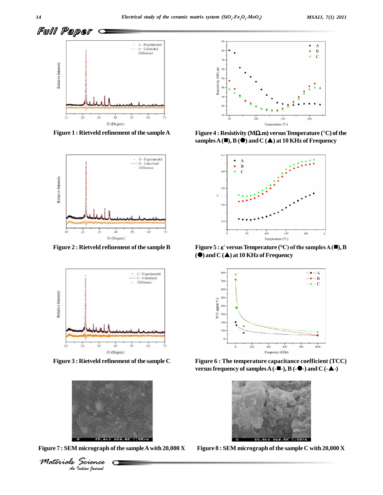

**Figure 1 : Rietveld refinement of the sampleA**



**Figure 2 : Rietveld refinement of the sample B**



**Figure 3 : Rietveld refinement of the sample C**



Figure 7 : SEM micrograph of the sample A with 20,000 X Figure 8 : SEM micrograph of the sample C with 20,000 X



 $\mathbf{S}$  **samples** $\mathbf{A}(\blacksquare)$ ,  $\mathbf{B}(\lozenge)$  and  $\mathbf{C}(\blacktriangle)$  at 10 KHz of Frequency



**() and C () at 10 KHz of Frequency**



**Figure 6 : The temperature capacitance coefficient (TCC) versusfrequency ofsamplesA(--), B (--) and C (--)**



*Materials Science*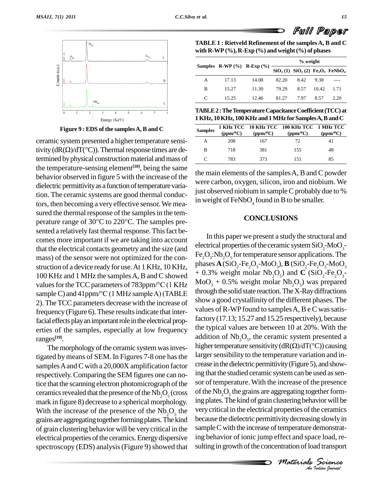

**Figure 9 : EDS of the samplesA,B and C**

ceramic system presented a higher temperature sensi-Figure 9 : EDS of the samples A, B and C<br>ceramic system presented a higher temperature sensi-<br>tivity (dR( $\Omega$ )/dT( $^{\circ}$ C)). Thermal response times are determined by physical construction material and mass of the temperature-sensing element **[18]**, being the same behavior observed in figure 5 with the increase of the dielectric permittivity as a function of temperature variation. The ceramic systems are good thermal conductors, then becoming a very effective sensor.We mea sured the thermal response of the samples in the temperature range of  $30^{\circ}$ C to  $220^{\circ}$ C. The samples presented a relatively fast thermal response. This fact becomes more important if we are taking into account<br>the decircal properties of the ceramic system SiO<sub>2</sub>-MoO<sub>2</sub>that the electrical contacts geometry and the size (and mass) of the sensor were not optimized for the con struction of a device ready for use.At 1 KHz, 10 KHz, 100 KHz and 1 MHz the samples A, B and C showed  $+0.5\%$  weight motar  $Nv_2V_5$  and C  $(S1V_2 - Fe_2V_3 -$ <br>values for the TCC parameters of 783ppm/°C (1 KHz MoO<sub>3</sub> + 0.5% weight molar Nb<sub>2</sub>O<sub>5</sub>) was prepared struction of a device ready for use. At 1 KHz, 10 KHz, phase<br>100 KHz and 1 MHz the samples A, B and C showed  $+0.3$ <br>values for the TCC parameters of 783ppm/°C (1 KHz MoO. 100 KHz and 1 MHz the samples A, B and C showed  $+0.3\%$ <br>values for the TCC parameters of 783ppm/°C (1 KHz MoO<sub>3</sub> + sample C) and 41ppm/°C (1 MHz sample A) (TABLE through the 2). The TCC parameters decrease with the increase of frequency (Figure 6). These results indicate that interfacial effects play an important role in the electrical properties of the samples, especially at low frequency ranges **[19]**.

The morphology of the ceramic system was investigated bymeans of SEM. In Figures 7-8 one hasthe samples A and C with a 20,000X amplification factor respectively.Comparing the SEM figures one can notice that the scanning electron photomicrograph of the ceramics revealed that the presence of the  $Nb_2O_5$  (cross mark in figure 8) decrease to a spherical morphology. With the increase of the presence of the  $Nb_2O_5$  the grains are aggregating together forming plates. The kind of grain clustering behavior will be verycritical in the electrical properties of the ceramics. Energy dispersive spectroscopy (EDS) analysis (Figure 9) showed that

**TABLE 1 : Rietveld Refinement of the samplesA, B and C with R-WP (%), R-Exp (%) and weight(%) of phases**

|   |       |                                      | % weight |                                      |       |      |
|---|-------|--------------------------------------|----------|--------------------------------------|-------|------|
|   |       | Samples R-WP $(\% )$ R-Exp $(\% )$ — |          | $SiO2(1)$ $SiO2(2)$ $Fe2O3$ $FeNbO4$ |       |      |
| A | 17.13 | 14.08                                | 82.20    | 8.42                                 | 9.38  |      |
| В | 15.27 | 11.30                                | 79.29    | 8.57                                 | 10.42 | 1.71 |
|   | 15.25 | 12.46                                | 81.27    | 7.97                                 | 8.57  | 2.20 |

**TABLE2:TheTemperatureCapacitanceCoefficient(TCC)at**

| 1 KHz, 10 KHz, 100 KHz and 1 MHz for Samples A, B and C |          |          |                                                        |                   |  |  |  |  |  |
|---------------------------------------------------------|----------|----------|--------------------------------------------------------|-------------------|--|--|--|--|--|
| <b>Samples</b>                                          | (ppm/°C) | (ppm/°C) | 1 KHz TCC 10 KHz TCC 100 KHz TCC 1 MHz TCC<br>(ppm/°C) | (ppm/ $\rm ^oC$ ) |  |  |  |  |  |
|                                                         | 208      | 167      | 72.                                                    |                   |  |  |  |  |  |
| в                                                       | 718      | 381      | 155                                                    | 48                |  |  |  |  |  |
|                                                         | 783      | 373      | 151                                                    | 85                |  |  |  |  |  |

the main elements of the samplesA, Band C powder were carbon, oxygen, silicon, iron and niobium. We just observed niobium in sample C probably due to  $%$ in weight of  $FeNbO<sub>4</sub>$  found in B to be smaller.

#### **CONCLUSIONS**

Vity decreasing slowly in<br>
temperature demonstrat-<br>
ffect and space load, re-<br> *Materials Science*<br> *Materials*<br> *Material* because the dielectric permittivity decreasing slowly in the very critical in the electrical properties of the ceramics In this paper we present a study the structural and electrical properties of the ceramic system  $\text{SiO}_{2}$ -Mo $\text{O}_{3}$ - $\text{Fe}_{2}\text{O}_{3}$ :Nb $_{2}\text{O}_{5}$  for temperature sensor applications. The phases  $\mathbf{A}$ (SiO<sub>2</sub>-Fe<sub>2</sub>O<sub>3</sub>-MoO<sub>3</sub>),  $\mathbf{B}$  (SiO<sub>2</sub>-Fe<sub>2</sub>O<sub>3</sub>-MoO<sub>3</sub>  $+$  0.3% weight molar Nb<sub>2</sub>O<sub>5</sub>) and **C** (SiO<sub>2</sub>-Fe<sub>2</sub>O<sub>3</sub>through the solid state reaction.TheX-Raydiffractions show a good crystallinity of the different phases. The values of  $R$ -WP found to samples  $A$ ,  $B \in C$  was satisfactory(17.13; 15.27 and 15.25 respectively), because the typical values are between 10 at 20%. With the addition of  $Nb_2O_5$ , the ceramic system presented a higher temperature sensitivity (dR( $\Omega$ )/dT( $\degree$ C)) causing addition of  $Nb_2O_5$ , the ceramic system presented a larger sensibility to the temperature variation and increase in the dielectric permittivity (Figure 5), and showing that the studied ceramic system can be used as sensor of temperature.With the increase of the presence of the  $Nb_2O_5$  the grains are aggregating together forming plates. The kind of grain clustering behavior will be sample C with the increase of temperature demonstrating behavior of ionic jump effect and space load, re sulting in growth of the concentration of load transport